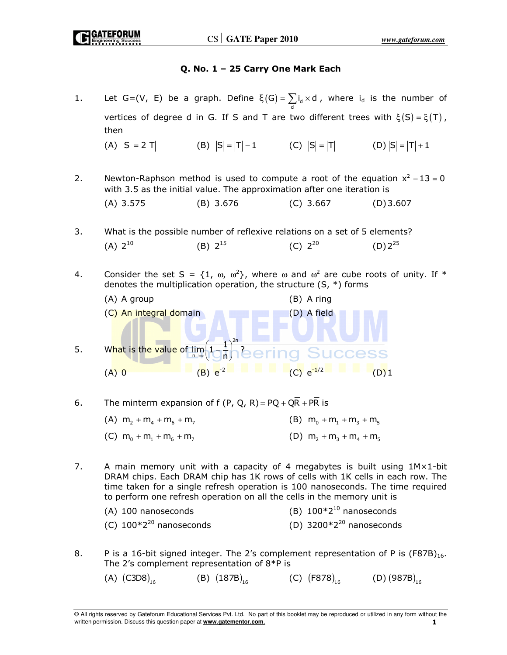# Q. No. 1 – 25 Carry One Mark Each

- 1. Let G=(V, E) be a graph. Define  $\xi(G) = \sum_{d} i_d \times d$ , where  $i_d$  is the number of vertices of degree d in G. If S and T are two different trees with  $\xi(S) = \xi(T)$ , then (A)  $|S| = 2|T|$  (B)  $|S| = |T| - 1$  (C)  $|S| = |T|$  (D)  $|S| = |T| + 1$ 2. Newton-Raphson method is used to compute a root of the equation  $x^2 - 13 = 0$ with 3.5 as the initial value. The approximation after one iteration is (A) 3.575 (B) 3.676 (C) 3.667 (D) 3.607 3. What is the possible number of reflexive relations on a set of 5 elements? (A)  $2^{10}$  (B)  $2^{15}$  (C)  $2^{20}$  (D)  $2^{25}$ 4. Consider the set S =  $\{1, \omega, \omega^2\}$ , where  $\omega$  and  $\omega^2$  are cube roots of unity. If \* denotes the multiplication operation, the structure  $(S, * )$  forms (A) A group (B) A ring (C) An integral domain (D) A field 5. What is the value of  $\lim_{n\to\infty}\left(1-\frac{1}{n}\right)^{2n}$ ? 2n n 1 →∞ ll Un (A) 0 (B)  $e^{-2}$  (B)  $e^{-2}$  (C)  $e^{-1/2}$  (D) 1
- 6. The minterm expansion of f (P, Q, R) =  $PQ + QR + PR$  is

| (A) $m_2 + m_4 + m_6 + m_7$ | (B) $m_0 + m_1 + m_3 + m_5$ |
|-----------------------------|-----------------------------|
| (C) $m_0 + m_1 + m_6 + m_7$ | (D) $m_2 + m_3 + m_4 + m_5$ |

7. A main memory unit with a capacity of 4 megabytes is built using  $1M \times 1$ -bit DRAM chips. Each DRAM chip has 1K rows of cells with 1K cells in each row. The time taken for a single refresh operation is 100 nanoseconds. The time required to perform one refresh operation on all the cells in the memory unit is

| (A) 100 nanoseconds          | (B) $100*2^{10}$ nanoseconds  |
|------------------------------|-------------------------------|
| (C) $100*2^{20}$ nanoseconds | (D) $3200*2^{20}$ nanoseconds |

- 8. P is a 16-bit signed integer. The 2's complement representation of P is  $(F87B)_{16}$ . The 2's complement representation of 8\*P is
	- (A)  $(C3D8)_{16}$  (B)  $(187B)_{16}$  (C)  $(F878)_{16}$  (D)  $(987B)_{16}$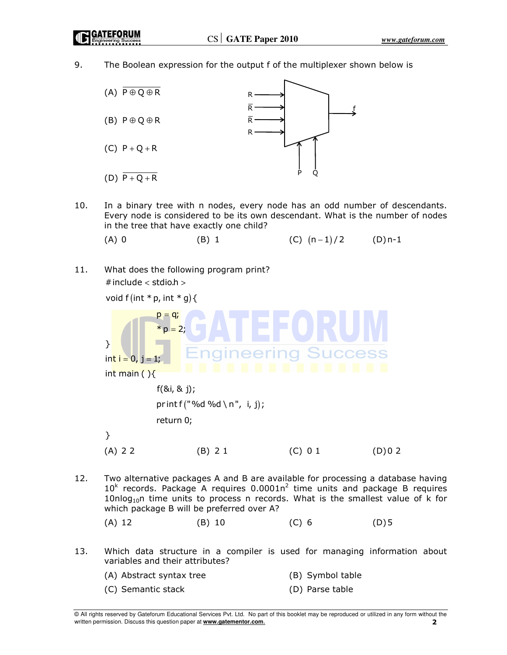9. The Boolean expression for the output f of the multiplexer shown below is



- 10. In a binary tree with n nodes, every node has an odd number of descendants. Every node is considered to be its own descendant. What is the number of nodes in the tree that have exactly one child?
	- (A) 0 (B) 1 (C)  $(n-1)/2$   $(D) n-1$
- 11. What does the following program print?  $#$  include  $<$  stdio.h  $>$

void  $f(int * p, int * g)$ 



- 12. Two alternative packages A and B are available for processing a database having  $10<sup>k</sup>$  records. Package A requires 0.0001n<sup>2</sup> time units and package B requires  $10nlog<sub>10</sub>n$  time units to process n records. What is the smallest value of k for which package B will be preferred over A?
- (A) 12 (B) 10 (C) 6 (D) 5
- 13. Which data structure in a compiler is used for managing information about variables and their attributes?
	- (A) Abstract syntax tree (B) Symbol table (C) Semantic stack (D) Parse table

<sup>©</sup> All rights reserved by Gateforum Educational Services Pvt. Ltd. No part of this booklet may be reproduced or utilized in any form without the written permission. Discuss this question paper at **www.gatementor.com**. 2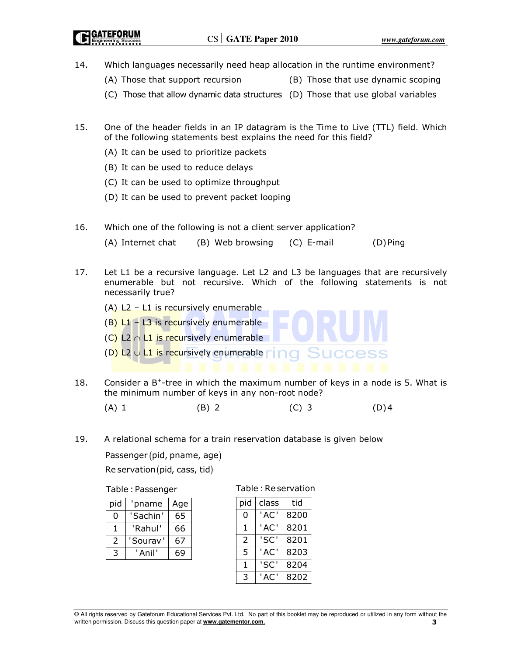- 14. Which languages necessarily need heap allocation in the runtime environment?
	- (A) Those that support recursion (B) Those that use dynamic scoping
	- (C) Those that allow dynamic data structures (D) Those that use global variables
- 15. One of the header fields in an IP datagram is the Time to Live (TTL) field. Which of the following statements best explains the need for this field?
	- (A) It can be used to prioritize packets
	- (B) It can be used to reduce delays
	- (C) It can be used to optimize throughput
	- (D) It can be used to prevent packet looping
- 16. Which one of the following is not a client server application?

(A) Internet chat (B) Web browsing (C) E-mail (D) Ping

- 17. Let L1 be a recursive language. Let L2 and L3 be languages that are recursively enumerable but not recursive. Which of the following statements is not necessarily true?
	- (A)  $L2 L1$  is recursively enumerable  $(B)$  L1 – L3 is recursively enumerable (C) L2  $\cap$  L1 is recursively enumerable (D) L2  $\cup$  L1 is recursively enumerable
- 18. Consider a  $B^+$ -tree in which the maximum number of keys in a node is 5. What is the minimum number of keys in any non-root node?

(A) 1 (B) 2 (C) 3 (D) 4

19. A relational schema for a train reservation database is given below

Passenger (pid, pname, age)

 $Re$  servation (pid, cass, tid)

Table : Passenger

| pid            | pname    | Age |
|----------------|----------|-----|
| O              | 'Sachin' | 65  |
| 1              | 'Rahul'  | 66  |
| $\overline{2}$ | 'Sourav' | 67  |
| 3              | ' Anil'  | 69  |

Table : Re servation

| pid | class | tid  |
|-----|-------|------|
| ი   | 'AC'  | 8200 |
| 1   | 'AC'  | 8201 |
| 2   | 'SC'  | 8201 |
| 5   | 'AC'  | 8203 |
| 1   | 'SC'  | 8204 |
| 3   | 'AC'  | 8202 |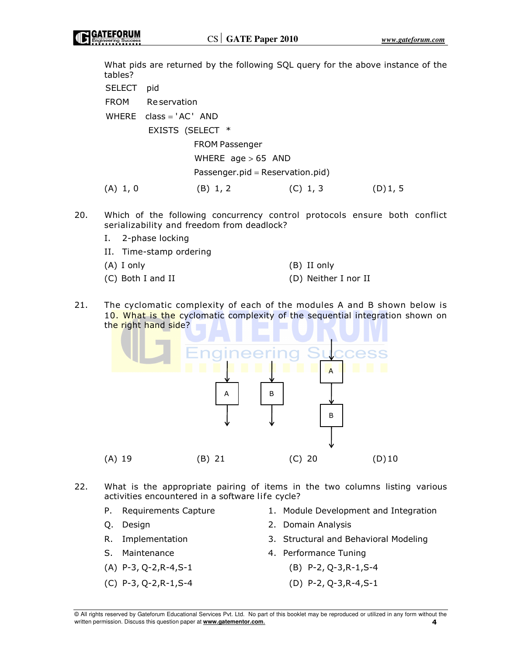What pids are returned by the following SQL query for the above instance of the tables?

SELECT pid FROM Re servation  $WHERE$  class = 'AC' AND EXISTS (SELECT \* FROM Passenger WHERE  $age > 65$  AND  $Passenger.pid = Reservation.pid)$ (A) 1, 0 (B) 1, 2 (C) 1, 3 (D) 1, 5

20. Which of the following concurrency control protocols ensure both conflict serializability and freedom from deadlock?

I. 2-phase locking

| II. Time-stamp ordering |                      |
|-------------------------|----------------------|
| (A) I only              | (B) II only          |
| (C) Both I and II       | (D) Neither I nor II |

21. The cyclomatic complexity of each of the modules A and B shown below is 10. What is the cyclomatic complexity of the sequential integration shown on the right hand side?



- 22. What is the appropriate pairing of items in the two columns listing various activities encountered in a software life cycle?
	-
	-
	-
	-
	-
	-
	- P. Requirements Capture 1. Module Development and Integration
	- Q. Design 2. Domain Analysis
	- R. Implementation 3. Structural and Behavioral Modeling
	- S. Maintenance **1. Example 2. Performance Tuning**
	- (A) P-3, Q-2,R-4,S-1 (B) P-2, Q-3,R-1,S-4
	- (C) P-3, Q-2,R-1,S-4 (D) P-2, Q-3,R-4,S-1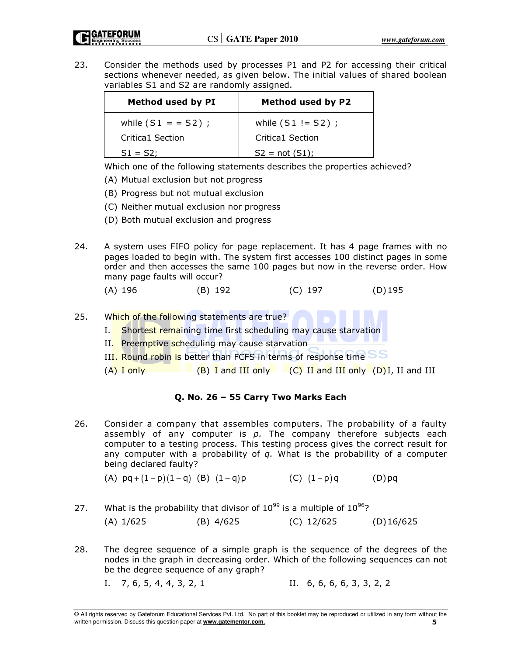23. Consider the methods used by processes P1 and P2 for accessing their critical sections whenever needed, as given below. The initial values of shared boolean variables S1 and S2 are randomly assigned.

| Method used by PI   | <b>Method used by P2</b> |
|---------------------|--------------------------|
| while $(S1 = S2)$ ; | while $(S1 != S2)$ ;     |
| Critica1 Section    | Critica1 Section         |
| $S1 = S2$ :         | $S2 = not (S1);$         |

Which one of the following statements describes the properties achieved?

- (A) Mutual exclusion but not progress
- (B) Progress but not mutual exclusion
- (C) Neither mutual exclusion nor progress
- (D) Both mutual exclusion and progress
- 24. A system uses FIFO policy for page replacement. It has 4 page frames with no pages loaded to begin with. The system first accesses 100 distinct pages in some order and then accesses the same 100 pages but now in the reverse order. How many page faults will occur?
	- (A) 196 (B) 192 (C) 197 (D) 195
- 25. Which of the following statements are true?
	- I. Shortest remaining time first scheduling may cause starvation
	- II. Preemptive scheduling may cause starvation
	- III. Round robin is better than FCFS in terms of response time
	- $(A)$  I only  $(B)$  I and III only  $(C)$  II and III only  $(D)$  I, II and III

# Q. No. 26 – 55 Carry Two Marks Each

26. Consider a company that assembles computers. The probability of a faulty assembly of any computer is  $p$ . The company therefore subjects each computer to a testing process. This testing process gives the correct result for any computer with a probability of  $q$ . What is the probability of a computer being declared faulty?

(A)  $pq + (1-p)(1-q)$  (B)  $(1-q)p$  (C)  $(1-p)q$  (D) pq

- 27. What is the probability that divisor of  $10^{99}$  is a multiple of  $10^{96}$ ? (A) 1/625 (B) 4/625 (C) 12/625 (D) 16/625
- 28. The degree sequence of a simple graph is the sequence of the degrees of the nodes in the graph in decreasing order. Which of the following sequences can not be the degree sequence of any graph?
	- I. 7, 6, 5, 4, 4, 3, 2, 1 II. 6, 6, 6, 6, 3, 3, 2, 2

<sup>©</sup> All rights reserved by Gateforum Educational Services Pvt. Ltd. No part of this booklet may be reproduced or utilized in any form without the written permission. Discuss this question paper at **www.gatementor.com.** 5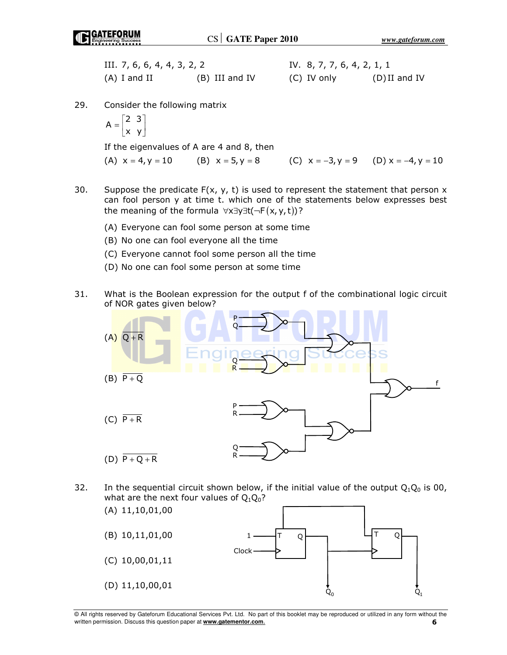| III. 7, 6, 6, 4, 4, 3, 2, 2 |                | IV. 8, 7, 7, 6, 4, 2, 1, 1 |                 |
|-----------------------------|----------------|----------------------------|-----------------|
| (A) I and II                | (B) III and IV | (C) IV only                | $(D)$ II and IV |

29. Consider the following matrix

$$
A = \begin{bmatrix} 2 & 3 \\ x & y \end{bmatrix}
$$

If the eigenvalues of A are 4 and 8, then

(A)  $x = 4, y = 10$  (B)  $x = 5, y = 8$  (C)  $x = -3, y = 9$  (D)  $x = -4, y = 10$ 

- 30. Suppose the predicate  $F(x, y, t)$  is used to represent the statement that person x can fool person y at time t. which one of the statements below expresses best the meaning of the formula  $\forall x \exists y \exists t (\neg F(x, y, t))$ ?
	- (A) Everyone can fool some person at some time
	- (B) No one can fool everyone all the time
	- (C) Everyone cannot fool some person all the time
	- (D) No one can fool some person at some time
- 31. What is the Boolean expression for the output f of the combinational logic circuit of NOR gates given below?



32. In the sequential circuit shown below, if the initial value of the output  $Q_1Q_0$  is 00, what are the next four values of  $Q_1Q_0$ ?



<sup>©</sup> All rights reserved by Gateforum Educational Services Pvt. Ltd. No part of this booklet may be reproduced or utilized in any form without the written permission. Discuss this question paper at **www.gatementor.com**.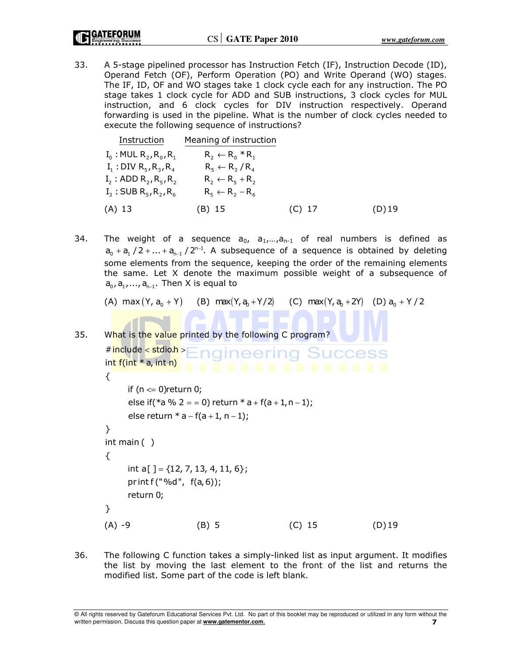33. A 5-stage pipelined processor has Instruction Fetch (IF), Instruction Decode (ID), Operand Fetch (OF), Perform Operation (PO) and Write Operand (WO) stages. The IF, ID, OF and WO stages take 1 clock cycle each for any instruction. The PO stage takes 1 clock cycle for ADD and SUB instructions, 3 clock cycles for MUL instruction, and 6 clock cycles for DIV instruction respectively. Operand forwarding is used in the pipeline. What is the number of clock cycles needed to execute the following sequence of instructions?

| Instruction                                                  | Meaning of instruction     |          |          |
|--------------------------------------------------------------|----------------------------|----------|----------|
| $I_0$ : MUL $R_2$ , $R_0$ , $R_1$                            | $R_2 \leftarrow R_0 * R_1$ |          |          |
| $I_1: DIV R_5, R_3, R_4$                                     | $R_5 \leftarrow R_3 / R_4$ |          |          |
| $I_2$ : ADD $R_2, R_5, R_2$                                  | $R_2 \leftarrow R_5 + R_2$ |          |          |
| $I_3$ : SUB R <sub>5</sub> , R <sub>2</sub> , R <sub>6</sub> | $R_5 \leftarrow R_2 - R_6$ |          |          |
| $(A)$ 13                                                     | (B) 15                     | $(C)$ 17 | $(D)$ 19 |

34. The weight of a sequence  $a_0$ ,  $a_1,...,a_{n-1}$  of real numbers is defined as  $a_0 + a_1$  / 2 + ... +  $a_{n-1}$  / 2<sup>n-1</sup>. A subsequence of a sequence is obtained by deleting some elements from the sequence, keeping the order of the remaining elements the same. Let X denote the maximum possible weight of a subsequence of a<sub>0</sub>, a<sub>1</sub>, …, a<sub>n−1</sub>. Then X is equal to

(A)  $max(Y, a_0 + Y)$  (B)  $max(Y, a_0 + Y/2)$  (C)  $max(Y, a_0 + 2Y)$  (D)  $a_0 + Y/2$ 

35. What is the value printed by the following C program?

```
# include < stdio.h >
                      ngineering Success
int f(int * a, int n)
{
     if (n \leftharpoons 0)return 0;
     else if(*a % 2 = = 0) return * a + f(a + 1, n - 1);
     else return * a – f(a + 1, n – 1);
}
int main ( )
{
     int a[ ] = \{12, 7, 13, 4, 11, 6\};
     pr int f("%d", f(a, 6));return 0;
}
(A) -9 (B) 5 (C) 15 (D) 19
```
36. The following C function takes a simply-linked list as input argument. It modifies the list by moving the last element to the front of the list and returns the modified list. Some part of the code is left blank.

© All rights reserved by Gateforum Educational Services Pvt. Ltd. No part of this booklet may be reproduced or utilized in any form without the written permission. Discuss this question paper at **www.gatementor.com.** 7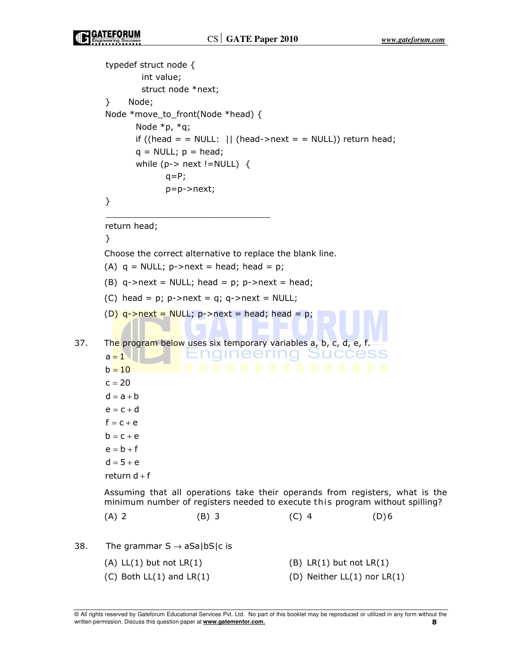```
typedef struct node {
              int value;
              struct node *next;
      } Node;
      Node *move_to_front(Node *head) {
             Node *p, *q;
            if ((head = = NULL: || (head->next = = NULL)) return head;
            q = NULL; p = head;
            while (p-> next !=NULL) {
                  q = P;
                   p=p->next;
      }
      _______________________________
      return head;
      }
       Choose the correct alternative to replace the blank line. 
      (A) q = NULL; p->next = head; head = p;
      (B) q->next = NULL; head = p; p->next = head;
      (C) head = p; p->next = q; q->next = NULL;
      (D) q->next = NULL; p->next = head; head = p;
37. The program below uses six temporary variables a, b, c, d, e, f.
                           nameering
                                               SUCCES
      a = 1b = 10c = 20d = a + be = c + df = c + eb = c + ee = b + fd = 5 + ereturn d\pm f
      Assuming that all operations take their operands from registers, what is the 
     minimum number of registers needed to execute this program without spilling?
(A) 2 (B) 3 (C) 4 (D) 6
38. The grammar S \rightarrow aSa|bS|c is
      (A) LL(1) but not LR(1) (B) LR(1) but not LR(1)(C) Both LL(1) and LR(1) (D) Neither LL(1) nor LR(1)
```
© All rights reserved by Gateforum Educational Services Pvt. Ltd. No part of this booklet may be reproduced or utilized in any form without the written permission. Discuss this question paper at **www.gatementor.com**.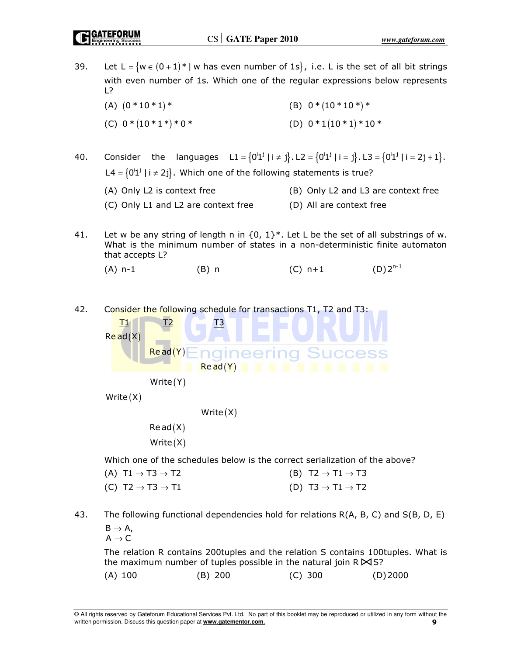39. Let L =  $\{w \in (0 + 1)^* | w \text{ has even number of 1s}\}\$ , i.e. L is the set of all bit strings with even number of 1s. Which one of the regular expressions below represents L?

(A)  $(0 * 10 * 1) *$  (B)  $0 * (10 * 10 *) *$ (C)  $0 * (10 * 1*) * 0*$  (D)  $0 * 1(10 * 1) * 10*$ 

40. Consider the languages  $LI = {0'1^j | i \neq j}$ . L2 =  ${0'1^j | i = j}$ . L3 =  ${0'1^j | i = 2j + 1}$ . L4 =  $\{0^i1^j \mid i \neq 2^i\}$ . Which one of the following statements is true?

| (A) Only L2 is context free         | (B) Only L2 and L3 are context free |
|-------------------------------------|-------------------------------------|
| (C) Only L1 and L2 are context free | (D) All are context free            |

- 41. Let w be any string of length n in  $\{0, 1\}^*$ . Let L be the set of all substrings of w. What is the minimum number of states in a non-deterministic finite automaton that accepts L?
	- (A) n-1 (B) n (C) n+1 (D)  $2^{n-1}$

42. Consider the following schedule for transactions T1, T2 and T3:

 $T1$  T2  $T3$  $\mathsf{Re}\, \mathsf{ad}(\mathsf{X})$  $Read(Y)$ **SUCCES** naineerina  $Re$  ad  $(Y)$  $Write(Y)$ 

 $Write(X)$ 

```
Write(X)
```
 $Re ad(X)$  $Write(X)$ 

Which one of the schedules below is the correct serialization of the above?

| (A) T1 $\rightarrow$ T3 $\rightarrow$ T2 | (B) T2 $\rightarrow$ T1 $\rightarrow$ T3 |
|------------------------------------------|------------------------------------------|
| (C) T2 $\rightarrow$ T3 $\rightarrow$ T1 | (D) T3 $\rightarrow$ T1 $\rightarrow$ T2 |

43. The following functional dependencies hold for relations R(A, B, C) and S(B, D, E)  $B \rightarrow A$ ,

 $A \rightarrow C$ 

 The relation R contains 200tuples and the relation S contains 100tuples. What is the maximum number of tuples possible in the natural join  $R$   $\blacktriangleright$  S?

(A) 100 (B) 200 (C) 300 (D) 2000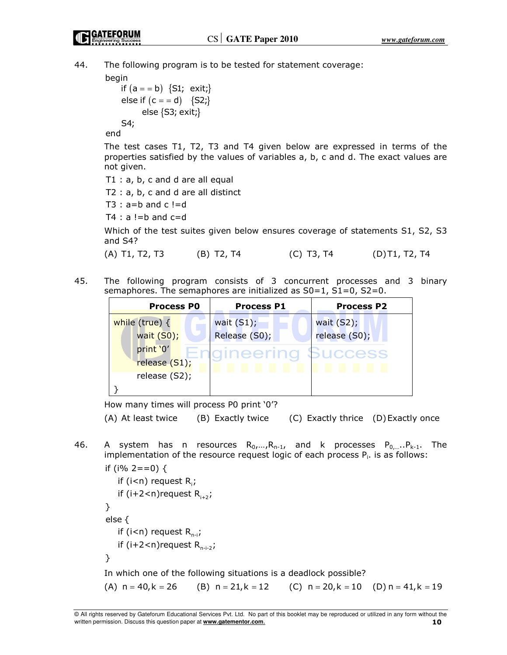44. The following program is to be tested for statement coverage:

begin

if  $(a = b) \{S1; exist; \}$ else if  $(c = = d) \{S2\}$ else {S3; exit;} S4;

end

 The test cases T1, T2, T3 and T4 given below are expressed in terms of the properties satisfied by the values of variables a, b, c and d. The exact values are not given.

T1 : a, b, c and d are all equal

T2 : a, b, c and d are all distinct

 $T3 : a=b$  and  $c != d$ 

 $T4 : a != b$  and  $c = d$ 

 Which of the test suites given below ensures coverage of statements S1, S2, S3 and S4?

```
 (A) T1, T2, T3 (B) T2, T4 (C) T3, T4 (D) T1, T2, T4
```
45. The following program consists of 3 concurrent processes and 3 binary semaphores. The semaphores are initialized as S0=1, S1=0, S2=0.

| <b>Process PO</b> | <b>Process P1</b> | <b>Process P2</b> |
|-------------------|-------------------|-------------------|
| while (true) {    | wait $(S1)$ ;     | wait $(S2)$ ;     |
| wait $(S0)$ ;     | Release (S0);     | release (S0);     |
| print '0'         |                   | uccess            |
| release (S1);     |                   |                   |
| release (S2);     |                   |                   |
|                   |                   |                   |

How many times will process P0 print '0'?

(A) At least twice (B) Exactly twice (C) Exactly thrice (D) Exactly once

46. A system has n resources  $R_0, ..., R_{n-1}$ , and k processes  $P_0, ..., P_{k-1}$ . The implementation of the resource request logic of each process  $P_i$ . is as follows:

```
if (i<n) request R<sub>i</sub>;
if (i+2<n)request R<sub>i+2</sub>;
if (i<n) request R<sub>n-i</sub>;
if (i+2<n)request R<sub>n-i-2</sub>;
if (i% 2 == 0) {
}
else {
}
```
In which one of the following situations is a deadlock possible?

(A)  $n = 40, k = 26$  (B)  $n = 21, k = 12$  (C)  $n = 20, k = 10$  (D)  $n = 41, k = 19$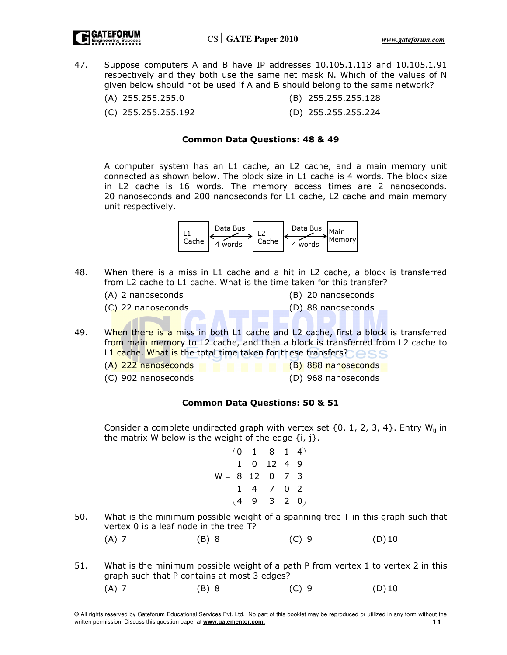47. Suppose computers A and B have IP addresses 10.105.1.113 and 10.105.1.91 respectively and they both use the same net mask N. Which of the values of N given below should not be used if A and B should belong to the same network?

| (A) 255.255.255.0 | (B) 255.255.255.128 |
|-------------------|---------------------|
|-------------------|---------------------|

(C) 255.255.255.192 (D) 255.255.255.224

#### Common Data Questions: 48 & 49

 A computer system has an L1 cache, an L2 cache, and a main memory unit connected as shown below. The block size in L1 cache is 4 words. The block size in L2 cache is 16 words. The memory access times are 2 nanoseconds. 20 nanoseconds and 200 nanoseconds for L1 cache, L2 cache and main memory unit respectively.



- 48. When there is a miss in L1 cache and a hit in L2 cache, a block is transferred from L2 cache to L1 cache. What is the time taken for this transfer?
	- (A) 2 nanoseconds (B) 20 nanoseconds
		- (C) 22 nanoseconds (D) 88 nanoseconds
- 
- 49. When there is a miss in both L1 cache and L2 cache, first a block is transferred from main memory to L2 cache, and then a block is transferred from L2 cache to L1 cache. What is the total time taken for these transfers?
	- (A) 222 nanoseconds (B) 888 nanoseconds
		-
- 
- (C) 902 nanoseconds (D) 968 nanoseconds

# Common Data Questions: 50 & 51

Consider a complete undirected graph with vertex set  $\{0, 1, 2, 3, 4\}$ . Entry W<sub>ii</sub> in the matrix W below is the weight of the edge  $\{i, j\}$ .

|  |                                                                                                                                         | $\begin{bmatrix} 0 & 2 \\ 0 & 0 \end{bmatrix}$ |  |
|--|-----------------------------------------------------------------------------------------------------------------------------------------|------------------------------------------------|--|
|  | $\begin{pmatrix} 0 & 1 & 8 & 1 & 4 \\ 1 & 0 & 12 & 4 & 9 \\ 8 & 12 & 0 & 7 & 3 \\ 1 & 4 & 7 & 0 & 2 \\ 4 & 9 & 3 & 2 & 0 \end{pmatrix}$ |                                                |  |

50. What is the minimum possible weight of a spanning tree T in this graph such that vertex 0 is a leaf node in the tree T?

| (A) 7 | (B) 8 | $(C)$ 9 | $(D)$ 10 |
|-------|-------|---------|----------|
|       |       |         |          |

51. What is the minimum possible weight of a path P from vertex 1 to vertex 2 in this graph such that P contains at most 3 edges? (A) 7 (B) 8 (C) 9 (D) 10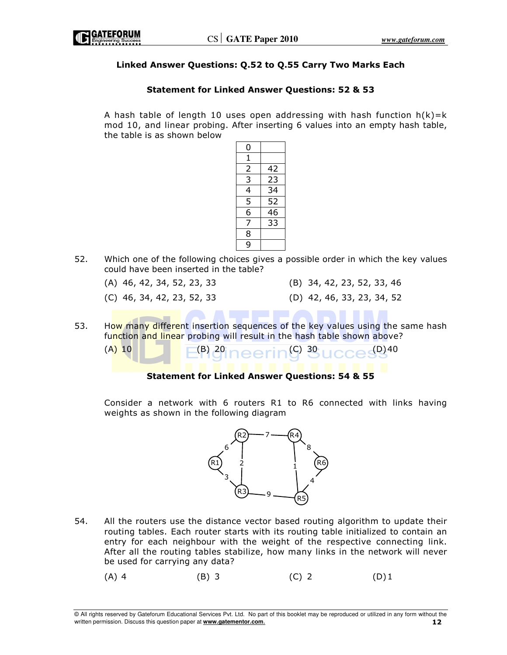

## Linked Answer Questions: Q.52 to Q.55 Carry Two Marks Each

## Statement for Linked Answer Questions: 52 & 53

A hash table of length 10 uses open addressing with hash function  $h(k)=k$ mod 10, and linear probing. After inserting 6 values into an empty hash table, the table is as shown below



- 52. Which one of the following choices gives a possible order in which the key values could have been inserted in the table?
	-
	- (A) 46, 42, 34, 52, 23, 33 (B) 34, 42, 23, 52, 33, 46
	-
	- (C) 46, 34, 42, 23, 52, 33 (D) 42, 46, 33, 23, 34, 52
- 53. How many different insertion sequences of the key values using the same hash function and linear probing will result in the hash table shown above?

(A) 10 (B) 20 (C) 30 (D) 40

### Statement for Linked Answer Questions: 54 & 55

 Consider a network with 6 routers R1 to R6 connected with links having weights as shown in the following diagram



- 54. All the routers use the distance vector based routing algorithm to update their routing tables. Each router starts with its routing table initialized to contain an entry for each neighbour with the weight of the respective connecting link. After all the routing tables stabilize, how many links in the network will never be used for carrying any data?
- (A) 4 (B) 3 (C) 2 (D) 1

© All rights reserved by Gateforum Educational Services Pvt. Ltd. No part of this booklet may be reproduced or utilized in any form without the written permission. Discuss this question paper at **www.gatementor.com.** 12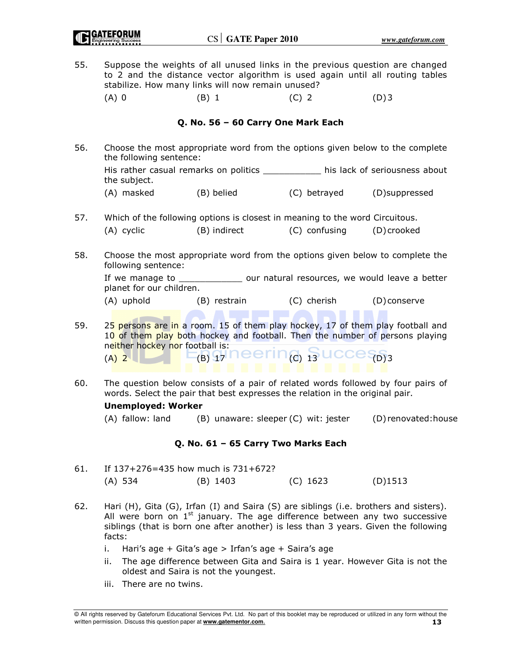55. Suppose the weights of all unused links in the previous question are changed to 2 and the distance vector algorithm is used again until all routing tables stabilize. How many links will now remain unused? (A) 0 (B) 1 (C) 2 (D) 3

## Q. No. 56 – 60 Carry One Mark Each

56. Choose the most appropriate word from the options given below to the complete the following sentence:

 His rather casual remarks on politics \_\_\_\_\_\_\_\_\_\_\_ his lack of seriousness about the subject.

- (A) masked (B) belied (C) betrayed (D)suppressed
- 57. Which of the following options is closest in meaning to the word Circuitous. (A) cyclic (B) indirect (C) confusing (D) crooked
- 58. Choose the most appropriate word from the options given below to complete the following sentence:

If we manage to electron our natural resources, we would leave a better planet for our children.

- (A) uphold (B) restrain (C) cherish (D) conserve
	-

- 59. 25 persons are in a room. 15 of them play hockey, 17 of them play football and 10 of them play both hockey and football. Then the number of persons playing neither hockey nor football is:  $_{(A)}$  2  $\Box$   $E_B$   $_1$  neering,  $_3$  ucces  $_{D13}$
- 60. The question below consists of a pair of related words followed by four pairs of words. Select the pair that best expresses the relation in the original pair.

### Unemployed: Worker

(A) fallow: land (B) unaware: sleeper (C) wit: jester (D) renovated:house

### Q. No. 61 – 65 Carry Two Marks Each

- 61. If 137+276=435 how much is 731+672? (A) 534 (B) 1403 (C) 1623 (D)1513
- 62. Hari (H), Gita (G), Irfan (I) and Saira (S) are siblings (i.e. brothers and sisters). All were born on  $1<sup>st</sup>$  january. The age difference between any two successive siblings (that is born one after another) is less than 3 years. Given the following facts:
	- i. Hari's age + Gita's age > Irfan's age + Saira's age
	- ii. The age difference between Gita and Saira is 1 year. However Gita is not the oldest and Saira is not the youngest.
	- iii. There are no twins.

<sup>©</sup> All rights reserved by Gateforum Educational Services Pvt. Ltd. No part of this booklet may be reproduced or utilized in any form without the written permission. Discuss this question paper at **www.gatementor.com.** 13